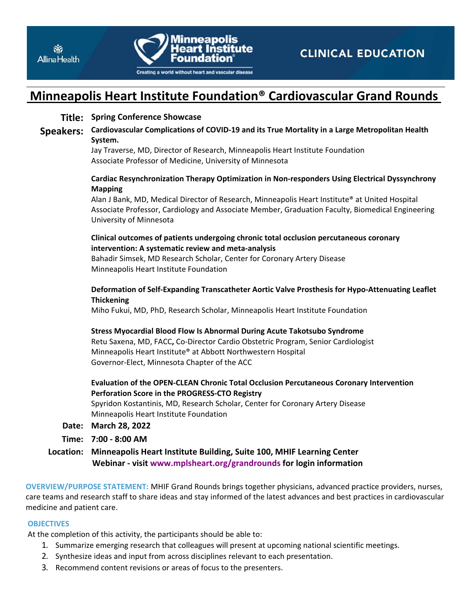



# **Minneapolis Heart Institute Foundation® Cardiovascular Grand Rounds**

# **Title: Spring Conference Showcase**

**Speakers: Cardiovascular Complications of COVID‐19 and its True Mortality in a Large Metropolitan Health System.** 

> Jay Traverse, MD, Director of Research, Minneapolis Heart Institute Foundation Associate Professor of Medicine, University of Minnesota

## **Cardiac Resynchronization Therapy Optimization in Non‐responders Using Electrical Dyssynchrony Mapping**

Alan J Bank, MD, Medical Director of Research, Minneapolis Heart Institute® at United Hospital Associate Professor, Cardiology and Associate Member, Graduation Faculty, Biomedical Engineering University of Minnesota

# **Clinical outcomes of patients undergoing chronic total occlusion percutaneous coronary intervention: A systematic review and meta‐analysis**

Bahadir Simsek, MD Research Scholar, Center for Coronary Artery Disease Minneapolis Heart Institute Foundation

## **Deformation of Self‐Expanding Transcatheter Aortic Valve Prosthesis for Hypo‐Attenuating Leaflet Thickening**

Miho Fukui, MD, PhD, Research Scholar, Minneapolis Heart Institute Foundation

## **Stress Myocardial Blood Flow Is Abnormal During Acute Takotsubo Syndrome**

Retu Saxena, MD, FACC**,** Co‐Director Cardio Obstetric Program, Senior Cardiologist Minneapolis Heart Institute® at Abbott Northwestern Hospital Governor‐Elect, Minnesota Chapter of the ACC

# **Evaluation of the OPEN‐CLEAN Chronic Total Occlusion Percutaneous Coronary Intervention Perforation Score in the PROGRESS‐CTO Registry**

Spyridon Kostantinis, MD, Research Scholar, Center for Coronary Artery Disease Minneapolis Heart Institute Foundation

## **Date: March 28, 2022**

**Time: 7:00 ‐ 8:00 AM** 

**Location: Minneapolis Heart Institute Building, Suite 100, MHIF Learning Center Webinar ‐ visit www.mplsheart.org/grandrounds for login information** 

**OVERVIEW/PURPOSE STATEMENT:** MHIF Grand Rounds brings together physicians, advanced practice providers, nurses, care teams and research staff to share ideas and stay informed of the latest advances and best practices in cardiovascular medicine and patient care.

## **OBJECTIVES**

At the completion of this activity, the participants should be able to:

- 1. Summarize emerging research that colleagues will present at upcoming national scientific meetings.
- 2. Synthesize ideas and input from across disciplines relevant to each presentation.
- 3. Recommend content revisions or areas of focus to the presenters.